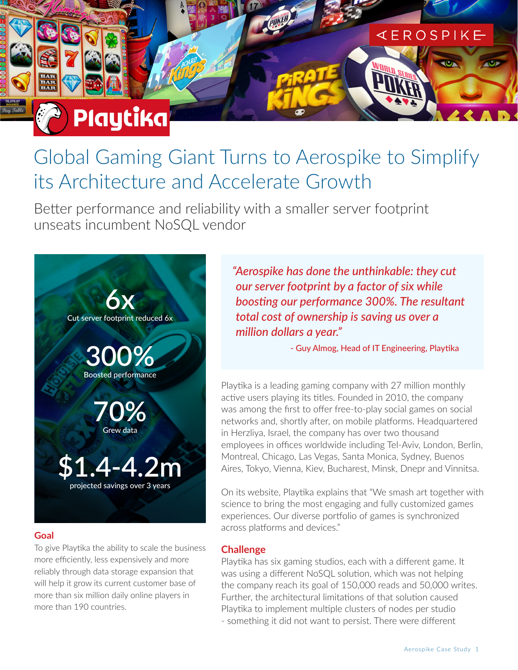# Global Gaming Giant Turns to Aerospike to Simplify its Architecture and Accelerate Growth

Better performance and reliability with a smaller server footprint unseats incumbent NoSQL vendor



Playtika

# **Goal**

To give Playtika the ability to scale the business more efficiently, less expensively and more reliably through data storage expansion that will help it grow its current customer base of more than six million daily online players in more than 190 countries.

*"Aerospike has done the unthinkable: they cut our server footprint by a factor of six while boosting our performance 300%. The resultant total cost of ownership is saving us over a million dollars a year."*

- Guy Almog, Head of IT Engineering, Playtika

**KEROSPIKE** 

Playtika is a leading gaming company with 27 million monthly active users playing its titles. Founded in 2010, the company was among the first to offer free-to-play social games on social networks and, shortly after, on mobile platforms. Headquartered in Herzliya, Israel, the company has over two thousand employees in offices worldwide including Tel-Aviv, London, Berlin, Montreal, Chicago, Las Vegas, Santa Monica, Sydney, Buenos Aires, Tokyo, Vienna, Kiev, Bucharest, Minsk, Dnepr and Vinnitsa.

On its website, Playtika explains that "We smash art together with science to bring the most engaging and fully customized games experiences. Our diverse portfolio of games is synchronized across platforms and devices."

# **Challenge**

Playtika has six gaming studios, each with a different game. It was using a different NoSQL solution, which was not helping the company reach its goal of 150,000 reads and 50,000 writes. Further, the architectural limitations of that solution caused Playtika to implement multiple clusters of nodes per studio - something it did not want to persist. There were different